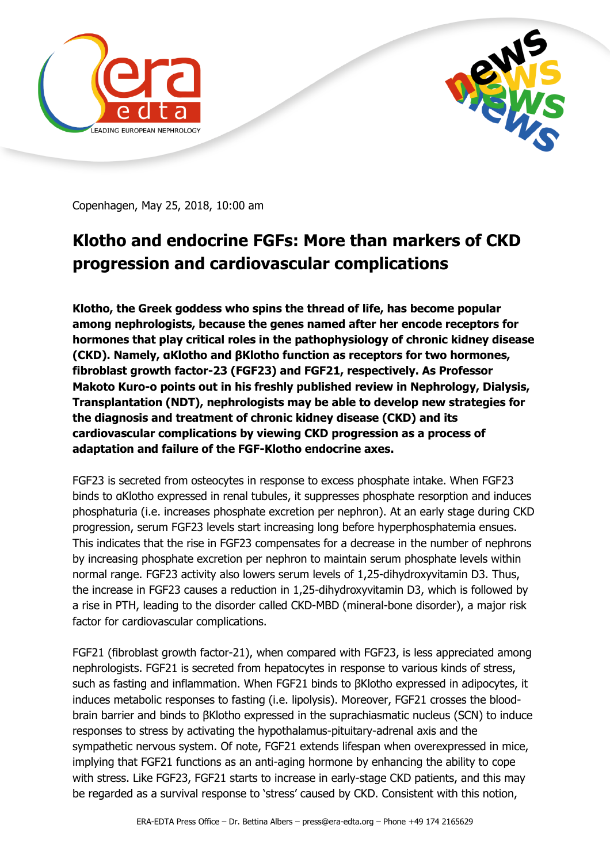



Copenhagen, May 25, 2018, 10:00 am

## **Klotho and endocrine FGFs: More than markers of CKD progression and cardiovascular complications**

**Klotho, the Greek goddess who spins the thread of life, has become popular among nephrologists, because the genes named after her encode receptors for hormones that play critical roles in the pathophysiology of chronic kidney disease (CKD). Namely, αKlotho and βKlotho function as receptors for two hormones, fibroblast growth factor-23 (FGF23) and FGF21, respectively. As Professor Makoto Kuro-o points out in his freshly published review in Nephrology, Dialysis, Transplantation (NDT), nephrologists may be able to develop new strategies for the diagnosis and treatment of chronic kidney disease (CKD) and its cardiovascular complications by viewing CKD progression as a process of adaptation and failure of the FGF-Klotho endocrine axes.**

FGF23 is secreted from osteocytes in response to excess phosphate intake. When FGF23 binds to αKlotho expressed in renal tubules, it suppresses phosphate resorption and induces phosphaturia (i.e. increases phosphate excretion per nephron). At an early stage during CKD progression, serum FGF23 levels start increasing long before hyperphosphatemia ensues. This indicates that the rise in FGF23 compensates for a decrease in the number of nephrons by increasing phosphate excretion per nephron to maintain serum phosphate levels within normal range. FGF23 activity also lowers serum levels of 1,25-dihydroxyvitamin D3. Thus, the increase in FGF23 causes a reduction in 1,25-dihydroxyvitamin D3, which is followed by a rise in PTH, leading to the disorder called CKD-MBD (mineral-bone disorder), a major risk factor for cardiovascular complications.

FGF21 (fibroblast growth factor-21), when compared with FGF23, is less appreciated among nephrologists. FGF21 is secreted from hepatocytes in response to various kinds of stress, such as fasting and inflammation. When FGF21 binds to βKlotho expressed in adipocytes, it induces metabolic responses to fasting (i.e. lipolysis). Moreover, FGF21 crosses the bloodbrain barrier and binds to βKlotho expressed in the suprachiasmatic nucleus (SCN) to induce responses to stress by activating the hypothalamus-pituitary-adrenal axis and the sympathetic nervous system. Of note, FGF21 extends lifespan when overexpressed in mice, implying that FGF21 functions as an anti-aging hormone by enhancing the ability to cope with stress. Like FGF23, FGF21 starts to increase in early-stage CKD patients, and this may be regarded as a survival response to 'stress' caused by CKD. Consistent with this notion,